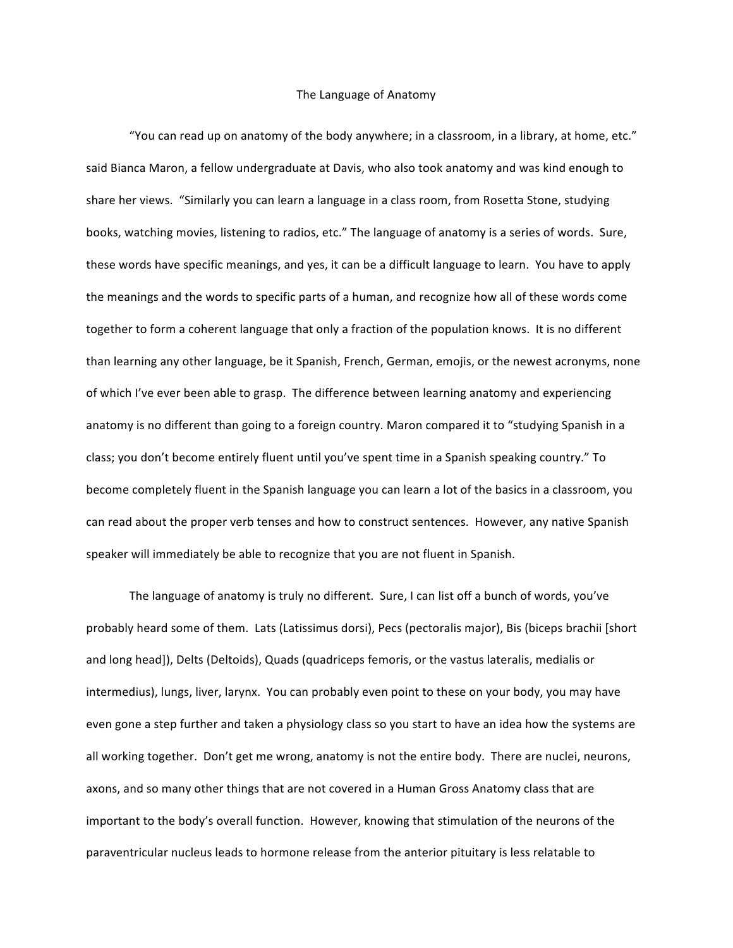## The Language of Anatomy

"You can read up on anatomy of the body anywhere; in a classroom, in a library, at home, etc." said Bianca Maron, a fellow undergraduate at Davis, who also took anatomy and was kind enough to share her views. "Similarly you can learn a language in a class room, from Rosetta Stone, studying books, watching movies, listening to radios, etc." The language of anatomy is a series of words. Sure, these words have specific meanings, and yes, it can be a difficult language to learn. You have to apply the meanings and the words to specific parts of a human, and recognize how all of these words come together to form a coherent language that only a fraction of the population knows. It is no different than learning any other language, be it Spanish, French, German, emojis, or the newest acronyms, none of which I've ever been able to grasp. The difference between learning anatomy and experiencing anatomy is no different than going to a foreign country. Maron compared it to "studying Spanish in a class; you don't become entirely fluent until you've spent time in a Spanish speaking country." To become completely fluent in the Spanish language you can learn a lot of the basics in a classroom, you can read about the proper verb tenses and how to construct sentences. However, any native Spanish speaker will immediately be able to recognize that you are not fluent in Spanish.

The language of anatomy is truly no different. Sure, I can list off a bunch of words, you've probably heard some of them. Lats (Latissimus dorsi), Pecs (pectoralis major), Bis (biceps brachii [short] and long head]), Delts (Deltoids), Quads (quadriceps femoris, or the vastus lateralis, medialis or intermedius), lungs, liver, larynx. You can probably even point to these on your body, you may have even gone a step further and taken a physiology class so you start to have an idea how the systems are all working together. Don't get me wrong, anatomy is not the entire body. There are nuclei, neurons, axons, and so many other things that are not covered in a Human Gross Anatomy class that are important to the body's overall function. However, knowing that stimulation of the neurons of the paraventricular nucleus leads to hormone release from the anterior pituitary is less relatable to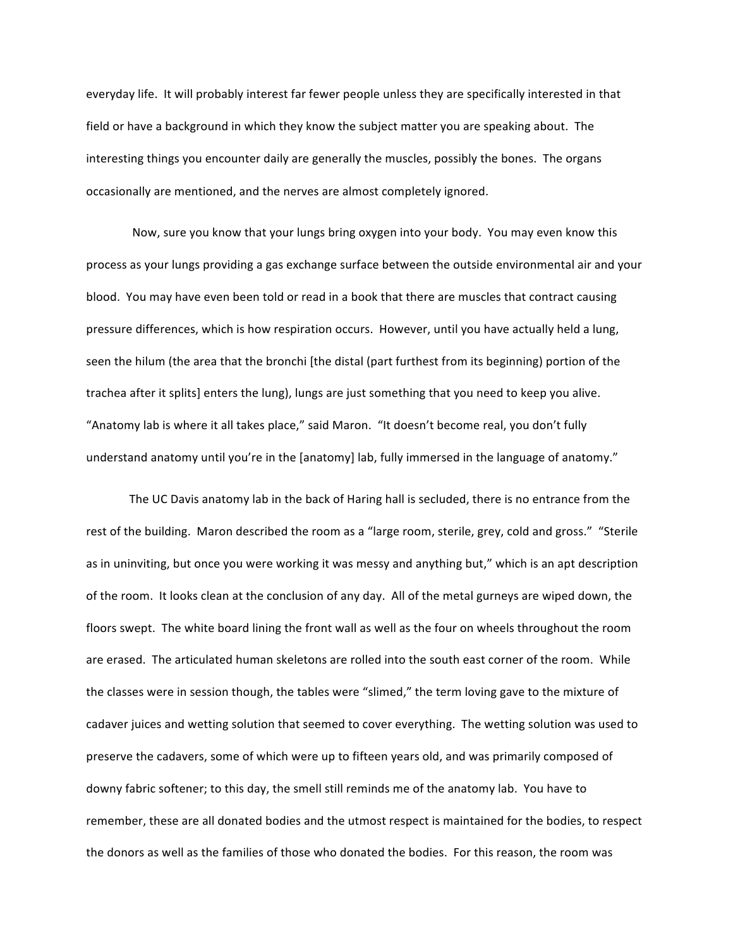everyday life. It will probably interest far fewer people unless they are specifically interested in that field or have a background in which they know the subject matter you are speaking about. The interesting things you encounter daily are generally the muscles, possibly the bones. The organs occasionally are mentioned, and the nerves are almost completely ignored.

Now, sure you know that your lungs bring oxygen into your body. You may even know this process as your lungs providing a gas exchange surface between the outside environmental air and your blood. You may have even been told or read in a book that there are muscles that contract causing pressure differences, which is how respiration occurs. However, until you have actually held a lung, seen the hilum (the area that the bronchi [the distal (part furthest from its beginning) portion of the trachea after it splits] enters the lung), lungs are just something that you need to keep you alive. "Anatomy lab is where it all takes place," said Maron. "It doesn't become real, you don't fully understand anatomy until you're in the [anatomy] lab, fully immersed in the language of anatomy."

The UC Davis anatomy lab in the back of Haring hall is secluded, there is no entrance from the rest of the building. Maron described the room as a "large room, sterile, grey, cold and gross." "Sterile as in uninviting, but once you were working it was messy and anything but," which is an apt description of the room. It looks clean at the conclusion of any day. All of the metal gurneys are wiped down, the floors swept. The white board lining the front wall as well as the four on wheels throughout the room are erased. The articulated human skeletons are rolled into the south east corner of the room. While the classes were in session though, the tables were "slimed," the term loving gave to the mixture of cadaver juices and wetting solution that seemed to cover everything. The wetting solution was used to preserve the cadavers, some of which were up to fifteen years old, and was primarily composed of downy fabric softener; to this day, the smell still reminds me of the anatomy lab. You have to remember, these are all donated bodies and the utmost respect is maintained for the bodies, to respect the donors as well as the families of those who donated the bodies. For this reason, the room was